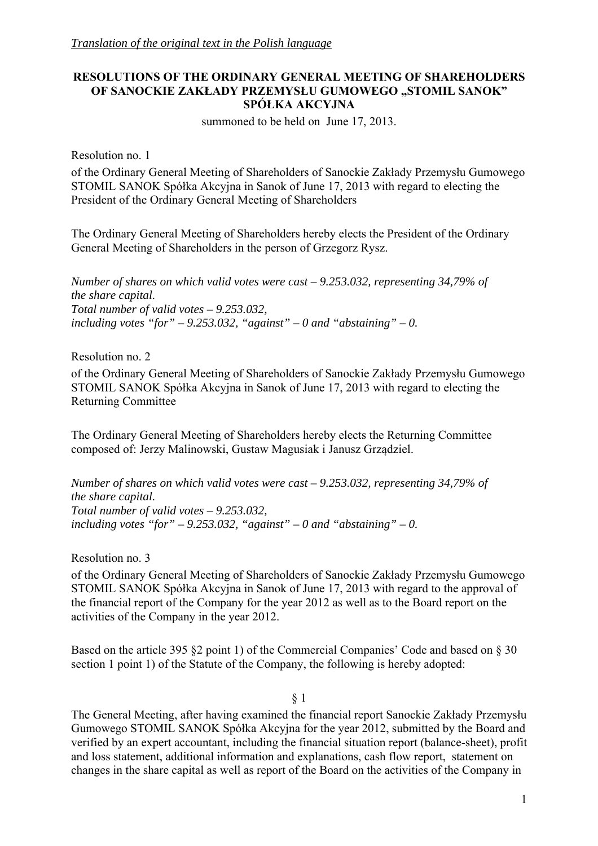# **RESOLUTIONS OF THE ORDINARY GENERAL MEETING OF SHAREHOLDERS OF SANOCKIE ZAKŁADY PRZEMYSŁU GUMOWEGO "STOMIL SANOK" SPÓŁKA AKCYJNA**

summoned to be held on June 17, 2013.

Resolution no. 1

of the Ordinary General Meeting of Shareholders of Sanockie Zakłady Przemysłu Gumowego STOMIL SANOK Spółka Akcyjna in Sanok of June 17, 2013 with regard to electing the President of the Ordinary General Meeting of Shareholders

The Ordinary General Meeting of Shareholders hereby elects the President of the Ordinary General Meeting of Shareholders in the person of Grzegorz Rysz.

*Number of shares on which valid votes were cast – 9.253.032, representing 34,79% of the share capital. Total number of valid votes – 9.253.032,*  including votes "for"  $-9.253.032$ , "against"  $-0$  and "abstaining"  $-0$ .

Resolution no. 2

of the Ordinary General Meeting of Shareholders of Sanockie Zakłady Przemysłu Gumowego STOMIL SANOK Spółka Akcyjna in Sanok of June 17, 2013 with regard to electing the Returning Committee

The Ordinary General Meeting of Shareholders hereby elects the Returning Committee composed of: Jerzy Malinowski, Gustaw Magusiak i Janusz Grządziel.

*Number of shares on which valid votes were cast – 9.253.032, representing 34,79% of the share capital. Total number of valid votes – 9.253.032,*  including votes "for"  $-9.253.032$ , "against"  $-0$  and "abstaining"  $-0$ .

Resolution no. 3

of the Ordinary General Meeting of Shareholders of Sanockie Zakłady Przemysłu Gumowego STOMIL SANOK Spółka Akcyjna in Sanok of June 17, 2013 with regard to the approval of the financial report of the Company for the year 2012 as well as to the Board report on the activities of the Company in the year 2012.

Based on the article 395 §2 point 1) of the Commercial Companies' Code and based on § 30 section 1 point 1) of the Statute of the Company, the following is hereby adopted:

§ 1

The General Meeting, after having examined the financial report Sanockie Zakłady Przemysłu Gumowego STOMIL SANOK Spółka Akcyjna for the year 2012, submitted by the Board and verified by an expert accountant, including the financial situation report (balance-sheet), profit and loss statement, additional information and explanations, cash flow report, statement on changes in the share capital as well as report of the Board on the activities of the Company in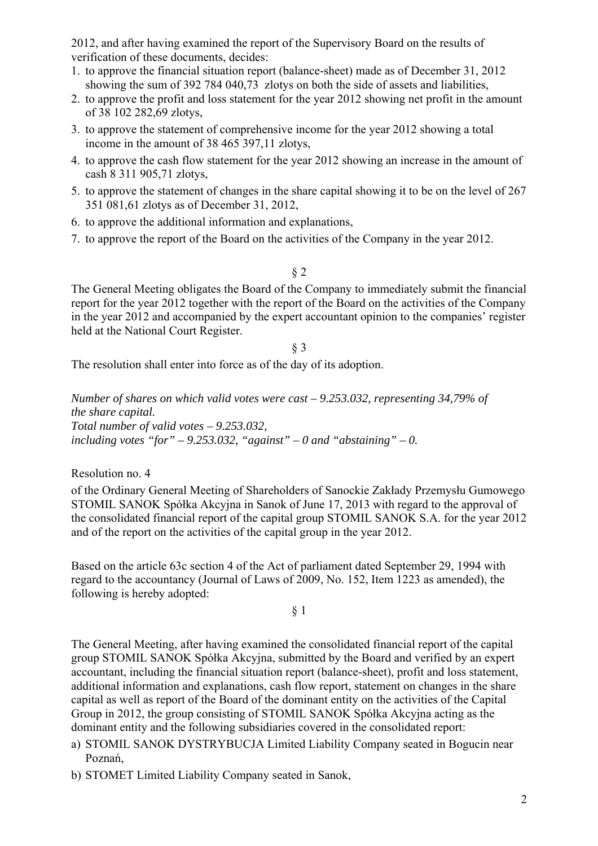2012, and after having examined the report of the Supervisory Board on the results of verification of these documents, decides:

- 1. to approve the financial situation report (balance-sheet) made as of December 31, 2012 showing the sum of 392 784 040,73 zlotys on both the side of assets and liabilities,
- 2. to approve the profit and loss statement for the year 2012 showing net profit in the amount of 38 102 282,69 zlotys,
- 3. to approve the statement of comprehensive income for the year 2012 showing a total income in the amount of 38 465 397,11 zlotys,
- 4. to approve the cash flow statement for the year 2012 showing an increase in the amount of cash 8 311 905,71 zlotys,
- 5. to approve the statement of changes in the share capital showing it to be on the level of 267 351 081,61 zlotys as of December 31, 2012,
- 6. to approve the additional information and explanations,
- 7. to approve the report of the Board on the activities of the Company in the year 2012.

§ 2

The General Meeting obligates the Board of the Company to immediately submit the financial report for the year 2012 together with the report of the Board on the activities of the Company in the year 2012 and accompanied by the expert accountant opinion to the companies' register held at the National Court Register.

§ 3

The resolution shall enter into force as of the day of its adoption.

*Number of shares on which valid votes were cast – 9.253.032, representing 34,79% of the share capital. Total number of valid votes – 9.253.032,*  including votes "for"  $-9.253.032$ , "against"  $-0$  and "abstaining"  $-0$ .

Resolution no. 4

of the Ordinary General Meeting of Shareholders of Sanockie Zakłady Przemysłu Gumowego STOMIL SANOK Spółka Akcyjna in Sanok of June 17, 2013 with regard to the approval of the consolidated financial report of the capital group STOMIL SANOK S.A. for the year 2012 and of the report on the activities of the capital group in the year 2012.

Based on the article 63c section 4 of the Act of parliament dated September 29, 1994 with regard to the accountancy (Journal of Laws of 2009, No. 152, Item 1223 as amended), the following is hereby adopted:

§ 1

The General Meeting, after having examined the consolidated financial report of the capital group STOMIL SANOK Spółka Akcyjna, submitted by the Board and verified by an expert accountant, including the financial situation report (balance-sheet), profit and loss statement, additional information and explanations, cash flow report, statement on changes in the share capital as well as report of the Board of the dominant entity on the activities of the Capital Group in 2012, the group consisting of STOMIL SANOK Spółka Akcyjna acting as the dominant entity and the following subsidiaries covered in the consolidated report:

- a) STOMIL SANOK DYSTRYBUCJA Limited Liability Company seated in Bogucin near Poznań,
- b) STOMET Limited Liability Company seated in Sanok,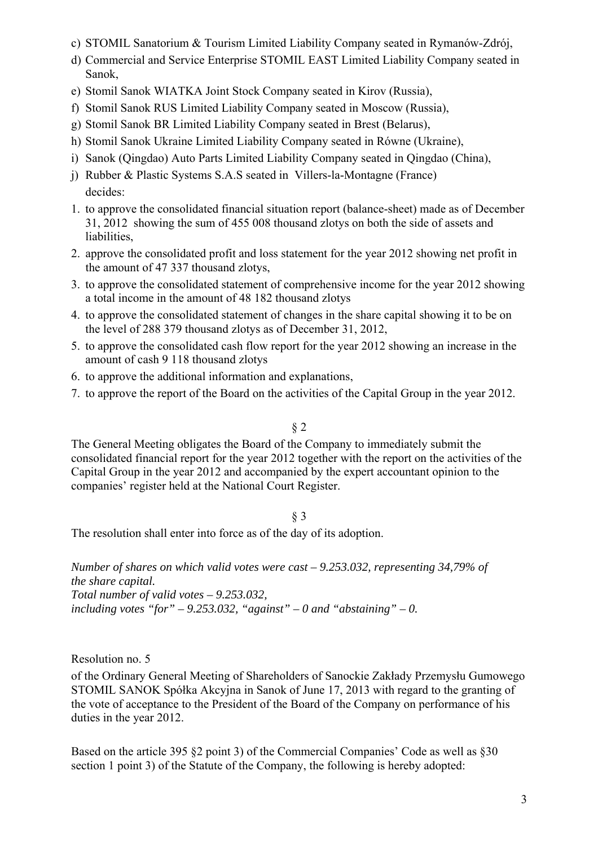- c) STOMIL Sanatorium & Tourism Limited Liability Company seated in Rymanów-Zdrój,
- d) Commercial and Service Enterprise STOMIL EAST Limited Liability Company seated in Sanok,
- e) Stomil Sanok WIATKA Joint Stock Company seated in Kirov (Russia),
- f) Stomil Sanok RUS Limited Liability Company seated in Moscow (Russia),
- g) Stomil Sanok BR Limited Liability Company seated in Brest (Belarus),
- h) Stomil Sanok Ukraine Limited Liability Company seated in Równe (Ukraine),
- i) Sanok (Qingdao) Auto Parts Limited Liability Company seated in Qingdao (China),
- j) Rubber & Plastic Systems S.A.S seated in Villers-la-Montagne (France) decides:
- 1. to approve the consolidated financial situation report (balance-sheet) made as of December 31, 2012 showing the sum of 455 008 thousand zlotys on both the side of assets and liabilities,
- 2. approve the consolidated profit and loss statement for the year 2012 showing net profit in the amount of 47 337 thousand zlotys,
- 3. to approve the consolidated statement of comprehensive income for the year 2012 showing a total income in the amount of 48 182 thousand zlotys
- 4. to approve the consolidated statement of changes in the share capital showing it to be on the level of 288 379 thousand zlotys as of December 31, 2012,
- 5. to approve the consolidated cash flow report for the year 2012 showing an increase in the amount of cash 9 118 thousand zlotys
- 6. to approve the additional information and explanations,
- 7. to approve the report of the Board on the activities of the Capital Group in the year 2012.

## § 2

The General Meeting obligates the Board of the Company to immediately submit the consolidated financial report for the year 2012 together with the report on the activities of the Capital Group in the year 2012 and accompanied by the expert accountant opinion to the companies' register held at the National Court Register.

## § 3

The resolution shall enter into force as of the day of its adoption.

*Number of shares on which valid votes were cast – 9.253.032, representing 34,79% of the share capital. Total number of valid votes – 9.253.032,*  including votes "for"  $-9.253.032$ , "against"  $-0$  and "abstaining"  $-0$ .

Resolution no. 5

of the Ordinary General Meeting of Shareholders of Sanockie Zakłady Przemysłu Gumowego STOMIL SANOK Spółka Akcyjna in Sanok of June 17, 2013 with regard to the granting of the vote of acceptance to the President of the Board of the Company on performance of his duties in the year 2012.

Based on the article 395 §2 point 3) of the Commercial Companies' Code as well as §30 section 1 point 3) of the Statute of the Company, the following is hereby adopted: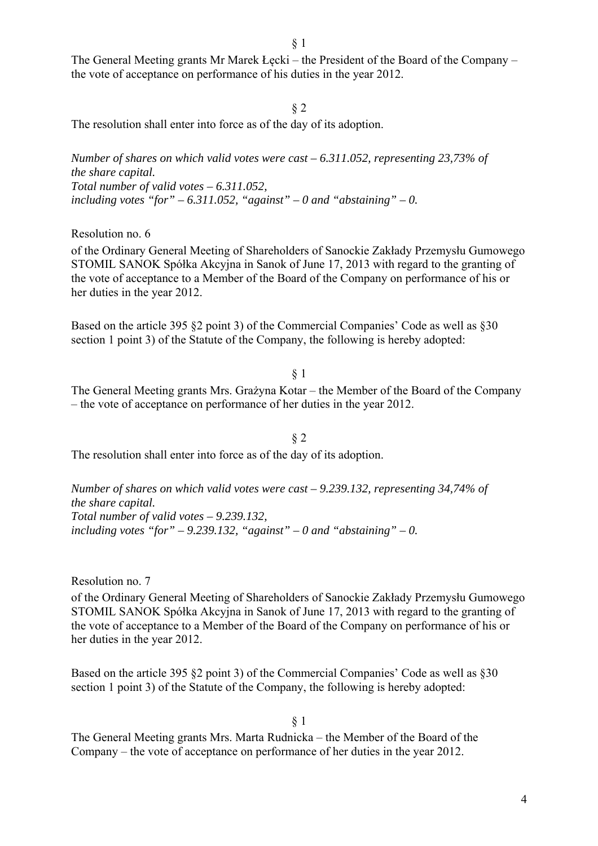The General Meeting grants Mr Marek Łęcki – the President of the Board of the Company – the vote of acceptance on performance of his duties in the year 2012.

§ 2

The resolution shall enter into force as of the day of its adoption.

*Number of shares on which valid votes were cast – 6.311.052, representing 23,73% of the share capital. Total number of valid votes – 6.311.052,*  including votes "for"  $-6.311.052$ , "against"  $-0$  and "abstaining"  $-0$ .

Resolution no. 6

of the Ordinary General Meeting of Shareholders of Sanockie Zakłady Przemysłu Gumowego STOMIL SANOK Spółka Akcyjna in Sanok of June 17, 2013 with regard to the granting of the vote of acceptance to a Member of the Board of the Company on performance of his or her duties in the year 2012.

Based on the article 395 §2 point 3) of the Commercial Companies' Code as well as §30 section 1 point 3) of the Statute of the Company, the following is hereby adopted:

### § 1

The General Meeting grants Mrs. Grażyna Kotar – the Member of the Board of the Company – the vote of acceptance on performance of her duties in the year 2012.

§ 2 The resolution shall enter into force as of the day of its adoption.

*Number of shares on which valid votes were cast – 9.239.132, representing 34,74% of the share capital. Total number of valid votes – 9.239.132,*  including votes "for"  $-$  9.239.132, "against"  $-$  0 and "abstaining"  $-$  0.

Resolution no. 7

of the Ordinary General Meeting of Shareholders of Sanockie Zakłady Przemysłu Gumowego STOMIL SANOK Spółka Akcyjna in Sanok of June 17, 2013 with regard to the granting of the vote of acceptance to a Member of the Board of the Company on performance of his or her duties in the year 2012.

Based on the article 395 §2 point 3) of the Commercial Companies' Code as well as §30 section 1 point 3) of the Statute of the Company, the following is hereby adopted:

§ 1

The General Meeting grants Mrs. Marta Rudnicka – the Member of the Board of the Company – the vote of acceptance on performance of her duties in the year 2012.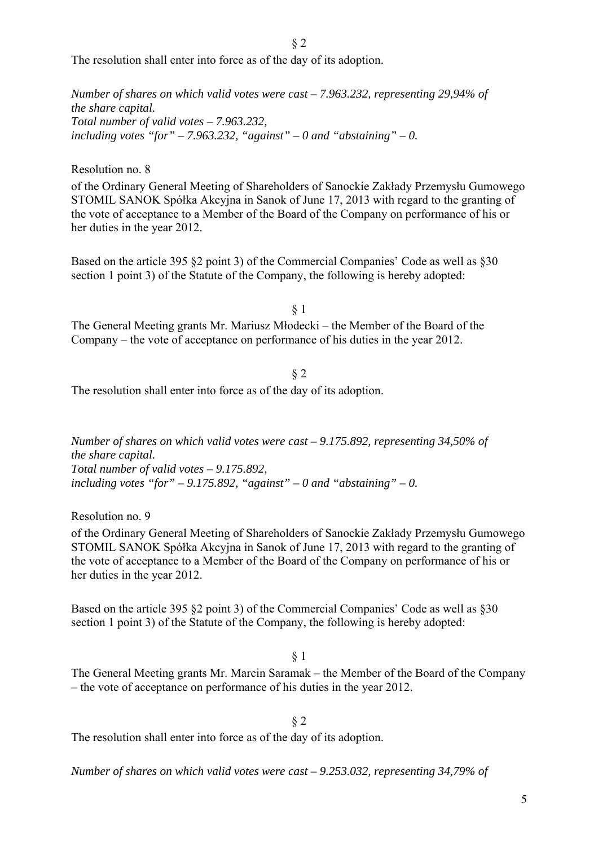§ 2

The resolution shall enter into force as of the day of its adoption.

*Number of shares on which valid votes were cast – 7.963.232, representing 29,94% of the share capital. Total number of valid votes – 7.963.232, including votes "for" – 7.963.232, "against" – 0 and "abstaining" – 0.*

Resolution no. 8

of the Ordinary General Meeting of Shareholders of Sanockie Zakłady Przemysłu Gumowego STOMIL SANOK Spółka Akcyjna in Sanok of June 17, 2013 with regard to the granting of the vote of acceptance to a Member of the Board of the Company on performance of his or her duties in the year 2012.

Based on the article 395 §2 point 3) of the Commercial Companies' Code as well as §30 section 1 point 3) of the Statute of the Company, the following is hereby adopted:

§ 1 The General Meeting grants Mr. Mariusz Młodecki – the Member of the Board of the Company – the vote of acceptance on performance of his duties in the year 2012.

§ 2 The resolution shall enter into force as of the day of its adoption.

*Number of shares on which valid votes were cast – 9.175.892, representing 34,50% of the share capital. Total number of valid votes – 9.175.892,*  including votes "for"  $-9.175.892$ , "against"  $-0$  and "abstaining"  $-0$ .

Resolution no. 9

of the Ordinary General Meeting of Shareholders of Sanockie Zakłady Przemysłu Gumowego STOMIL SANOK Spółka Akcyjna in Sanok of June 17, 2013 with regard to the granting of the vote of acceptance to a Member of the Board of the Company on performance of his or her duties in the year 2012.

Based on the article 395 §2 point 3) of the Commercial Companies' Code as well as §30 section 1 point 3) of the Statute of the Company, the following is hereby adopted:

#### § 1

The General Meeting grants Mr. Marcin Saramak – the Member of the Board of the Company – the vote of acceptance on performance of his duties in the year 2012.

§ 2

The resolution shall enter into force as of the day of its adoption.

*Number of shares on which valid votes were cast – 9.253.032, representing 34,79% of*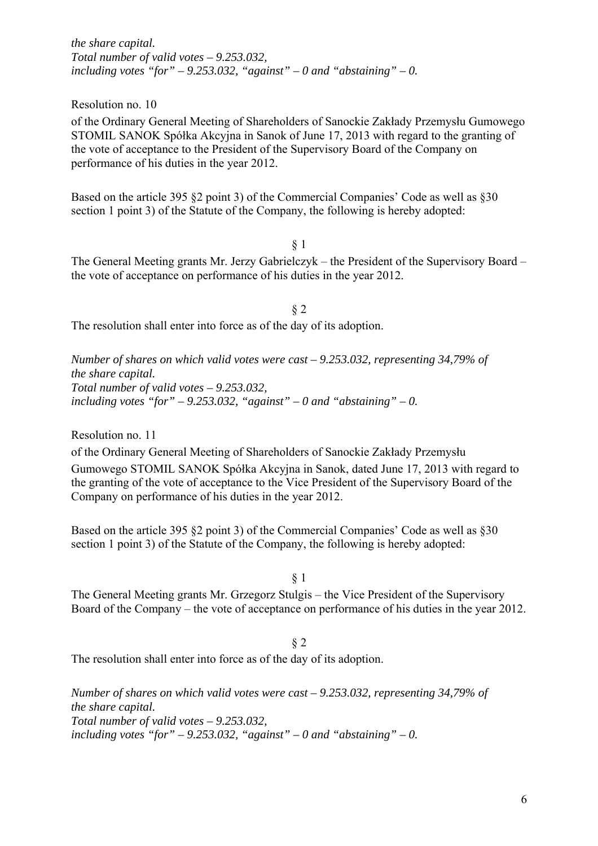*the share capital. Total number of valid votes – 9.253.032,*  including votes "for"  $-9.253.032$ , "against"  $-0$  and "abstaining"  $-0$ .

Resolution no. 10

of the Ordinary General Meeting of Shareholders of Sanockie Zakłady Przemysłu Gumowego STOMIL SANOK Spółka Akcyjna in Sanok of June 17, 2013 with regard to the granting of the vote of acceptance to the President of the Supervisory Board of the Company on performance of his duties in the year 2012.

Based on the article 395 §2 point 3) of the Commercial Companies' Code as well as §30 section 1 point 3) of the Statute of the Company, the following is hereby adopted:

§ 1

The General Meeting grants Mr. Jerzy Gabrielczyk – the President of the Supervisory Board – the vote of acceptance on performance of his duties in the year 2012.

§ 2 The resolution shall enter into force as of the day of its adoption.

*Number of shares on which valid votes were cast – 9.253.032, representing 34,79% of the share capital. Total number of valid votes – 9.253.032,*  including votes "for"  $-9.253.032$ , "against"  $-0$  and "abstaining"  $-0$ .

Resolution no. 11

of the Ordinary General Meeting of Shareholders of Sanockie Zakłady Przemysłu

Gumowego STOMIL SANOK Spółka Akcyjna in Sanok, dated June 17, 2013 with regard to the granting of the vote of acceptance to the Vice President of the Supervisory Board of the Company on performance of his duties in the year 2012.

Based on the article 395 §2 point 3) of the Commercial Companies' Code as well as §30 section 1 point 3) of the Statute of the Company, the following is hereby adopted:

§ 1

The General Meeting grants Mr. Grzegorz Stulgis – the Vice President of the Supervisory Board of the Company – the vote of acceptance on performance of his duties in the year 2012.

§ 2 The resolution shall enter into force as of the day of its adoption.

*Number of shares on which valid votes were cast – 9.253.032, representing 34,79% of the share capital. Total number of valid votes – 9.253.032,*  including votes "for"  $-9.253.032$ , "against"  $-0$  and "abstaining"  $-0$ .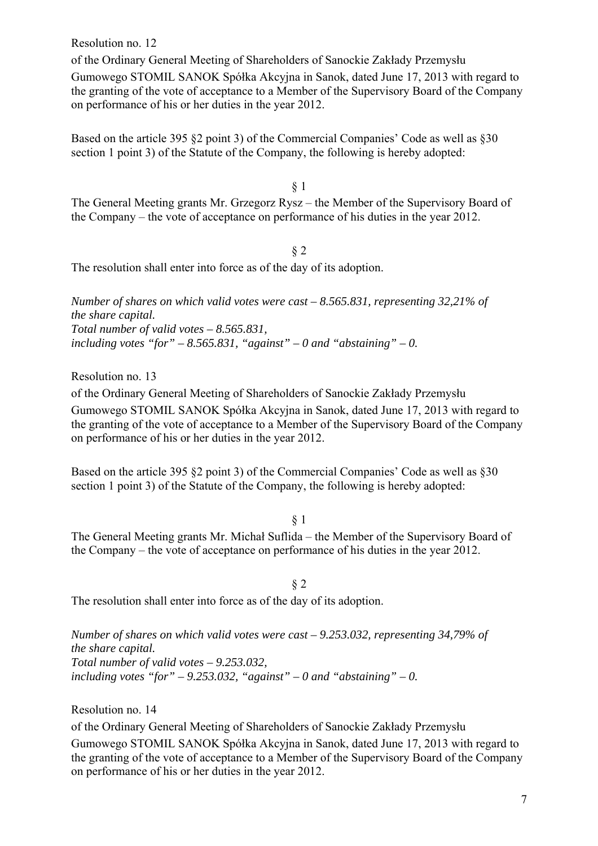Resolution no. 12

of the Ordinary General Meeting of Shareholders of Sanockie Zakłady Przemysłu Gumowego STOMIL SANOK Spółka Akcyjna in Sanok, dated June 17, 2013 with regard to the granting of the vote of acceptance to a Member of the Supervisory Board of the Company on performance of his or her duties in the year 2012.

Based on the article 395 §2 point 3) of the Commercial Companies' Code as well as §30 section 1 point 3) of the Statute of the Company, the following is hereby adopted:

§ 1

The General Meeting grants Mr. Grzegorz Rysz – the Member of the Supervisory Board of the Company – the vote of acceptance on performance of his duties in the year 2012.

§ 2 The resolution shall enter into force as of the day of its adoption.

*Number of shares on which valid votes were cast – 8.565.831, representing 32,21% of the share capital. Total number of valid votes – 8.565.831,*  including votes "for"  $-8.565.831$ , "against"  $-0$  and "abstaining"  $-0$ .

Resolution no. 13

of the Ordinary General Meeting of Shareholders of Sanockie Zakłady Przemysłu Gumowego STOMIL SANOK Spółka Akcyjna in Sanok, dated June 17, 2013 with regard to the granting of the vote of acceptance to a Member of the Supervisory Board of the Company on performance of his or her duties in the year 2012.

Based on the article 395 §2 point 3) of the Commercial Companies' Code as well as §30 section 1 point 3) of the Statute of the Company, the following is hereby adopted:

§ 1

The General Meeting grants Mr. Michał Suflida – the Member of the Supervisory Board of the Company – the vote of acceptance on performance of his duties in the year 2012.

§ 2 The resolution shall enter into force as of the day of its adoption.

*Number of shares on which valid votes were cast – 9.253.032, representing 34,79% of the share capital. Total number of valid votes – 9.253.032,*  including votes "for"  $-9.253.032$ , "against"  $-0$  and "abstaining"  $-0$ .

Resolution no. 14

of the Ordinary General Meeting of Shareholders of Sanockie Zakłady Przemysłu Gumowego STOMIL SANOK Spółka Akcyjna in Sanok, dated June 17, 2013 with regard to the granting of the vote of acceptance to a Member of the Supervisory Board of the Company on performance of his or her duties in the year 2012.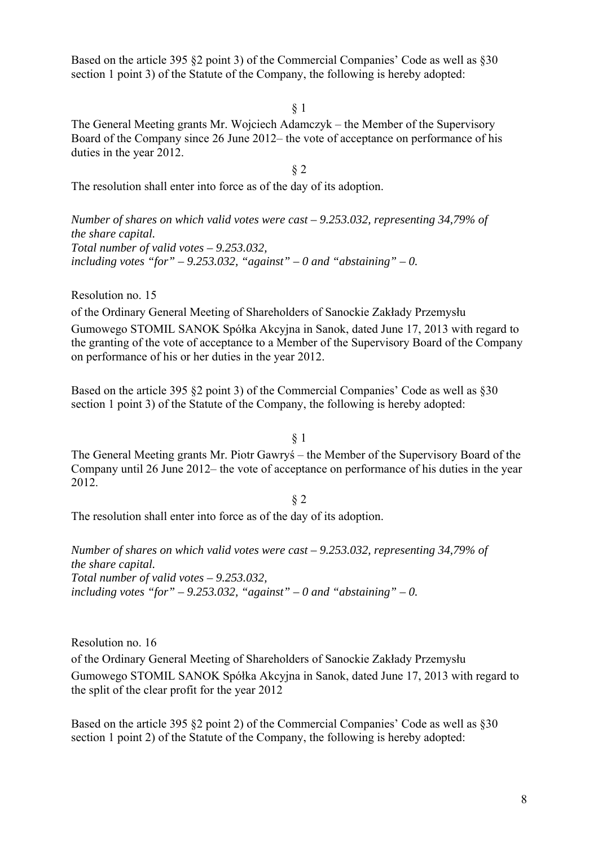Based on the article 395 §2 point 3) of the Commercial Companies' Code as well as §30 section 1 point 3) of the Statute of the Company, the following is hereby adopted:

§ 1

The General Meeting grants Mr. Wojciech Adamczyk – the Member of the Supervisory Board of the Company since 26 June 2012– the vote of acceptance on performance of his duties in the year 2012.

§ 2

The resolution shall enter into force as of the day of its adoption.

*Number of shares on which valid votes were cast – 9.253.032, representing 34,79% of the share capital. Total number of valid votes – 9.253.032,*  including votes "for"  $-9.253.032$ , "against"  $-0$  and "abstaining"  $-0$ .

Resolution no. 15

of the Ordinary General Meeting of Shareholders of Sanockie Zakłady Przemysłu Gumowego STOMIL SANOK Spółka Akcyjna in Sanok, dated June 17, 2013 with regard to the granting of the vote of acceptance to a Member of the Supervisory Board of the Company on performance of his or her duties in the year 2012.

Based on the article 395 §2 point 3) of the Commercial Companies' Code as well as §30 section 1 point 3) of the Statute of the Company, the following is hereby adopted:

§ 1

The General Meeting grants Mr. Piotr Gawryś – the Member of the Supervisory Board of the Company until 26 June 2012– the vote of acceptance on performance of his duties in the year 2012.

§ 2

The resolution shall enter into force as of the day of its adoption.

*Number of shares on which valid votes were cast – 9.253.032, representing 34,79% of the share capital. Total number of valid votes – 9.253.032,*  including votes "for"  $-9.253.032$ , "against"  $-0$  and "abstaining"  $-0$ .

Resolution no. 16

of the Ordinary General Meeting of Shareholders of Sanockie Zakłady Przemysłu Gumowego STOMIL SANOK Spółka Akcyjna in Sanok, dated June 17, 2013 with regard to the split of the clear profit for the year 2012

Based on the article 395 §2 point 2) of the Commercial Companies' Code as well as §30 section 1 point 2) of the Statute of the Company, the following is hereby adopted: